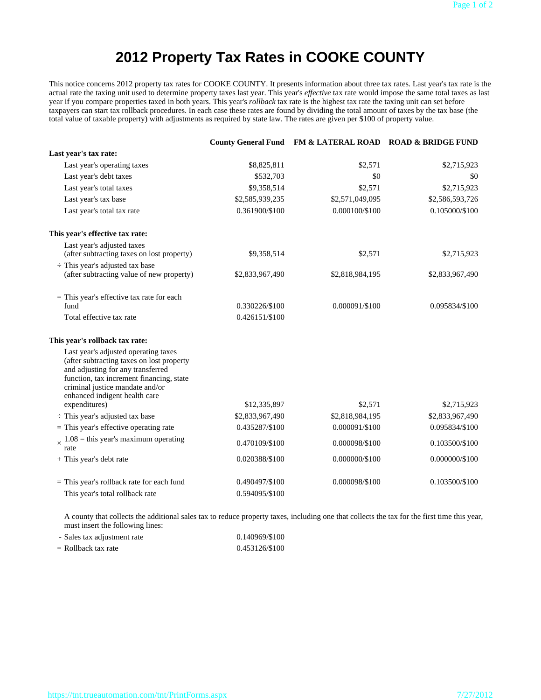# **2012 Property Tax Rates in COOKE COUNTY**

This notice concerns 2012 property tax rates for COOKE COUNTY. It presents information about three tax rates. Last year's tax rate is the actual rate the taxing unit used to determine property taxes last year. This year's *effective* tax rate would impose the same total taxes as last year if you compare properties taxed in both years. This year's *rollback* tax rate is the highest tax rate the taxing unit can set before taxpayers can start tax rollback procedures. In each case these rates are found by dividing the total amount of taxes by the tax base (the total value of taxable property) with adjustments as required by state law. The rates are given per \$100 of property value.

|                                                                                                                                                                                                                                                         |                                  | County General Fund FM & LATERAL ROAD ROAD & BRIDGE FUND |                 |
|---------------------------------------------------------------------------------------------------------------------------------------------------------------------------------------------------------------------------------------------------------|----------------------------------|----------------------------------------------------------|-----------------|
| Last year's tax rate:                                                                                                                                                                                                                                   |                                  |                                                          |                 |
| Last year's operating taxes                                                                                                                                                                                                                             | \$8,825,811                      | \$2,571                                                  | \$2,715,923     |
| Last year's debt taxes                                                                                                                                                                                                                                  | \$532,703                        | \$0                                                      | \$0             |
| Last year's total taxes                                                                                                                                                                                                                                 | \$9,358,514                      | \$2,571                                                  | \$2,715,923     |
| Last year's tax base                                                                                                                                                                                                                                    | \$2,585,939,235                  | \$2,571,049,095                                          | \$2,586,593,726 |
| Last year's total tax rate                                                                                                                                                                                                                              | 0.361900/\$100                   | 0.000100/\$100                                           | 0.105000/\$100  |
| This year's effective tax rate:                                                                                                                                                                                                                         |                                  |                                                          |                 |
| Last year's adjusted taxes<br>(after subtracting taxes on lost property)                                                                                                                                                                                | \$9,358,514                      | \$2,571                                                  | \$2,715,923     |
| $\div$ This year's adjusted tax base<br>(after subtracting value of new property)                                                                                                                                                                       | \$2,833,967,490                  | \$2,818,984,195                                          | \$2,833,967,490 |
| $=$ This year's effective tax rate for each<br>fund                                                                                                                                                                                                     | 0.330226/\$100                   | 0.000091/\$100                                           | 0.095834/\$100  |
| Total effective tax rate                                                                                                                                                                                                                                | 0.426151/\$100                   |                                                          |                 |
| This year's rollback tax rate:                                                                                                                                                                                                                          |                                  |                                                          |                 |
| Last year's adjusted operating taxes<br>(after subtracting taxes on lost property<br>and adjusting for any transferred<br>function, tax increment financing, state<br>criminal justice mandate and/or<br>enhanced indigent health care<br>expenditures) | \$12,335,897                     | \$2,571                                                  | \$2,715,923     |
| $\div$ This year's adjusted tax base                                                                                                                                                                                                                    | \$2,833,967,490                  | \$2,818,984,195                                          | \$2,833,967,490 |
| $=$ This year's effective operating rate                                                                                                                                                                                                                | 0.435287/\$100                   | 0.000091/\$100                                           | 0.095834/\$100  |
| $1.08$ = this year's maximum operating<br>rate                                                                                                                                                                                                          | 0.470109/\$100                   | 0.000098/\$100                                           | 0.103500/\$100  |
| + This year's debt rate                                                                                                                                                                                                                                 | 0.020388/\$100                   | 0.000000/\$100                                           | 0.000000/\$100  |
| $=$ This year's rollback rate for each fund<br>This year's total rollback rate                                                                                                                                                                          | 0.490497/\$100<br>0.594095/\$100 | 0.000098/\$100                                           | 0.103500/\$100  |

 A county that collects the additional sales tax to reduce property taxes, including one that collects the tax for the first time this year, must insert the following lines:

| - Sales tax adjustment rate | 0.140969/\$100 |
|-----------------------------|----------------|
| $=$ Rollback tax rate       | 0.453126/\$100 |